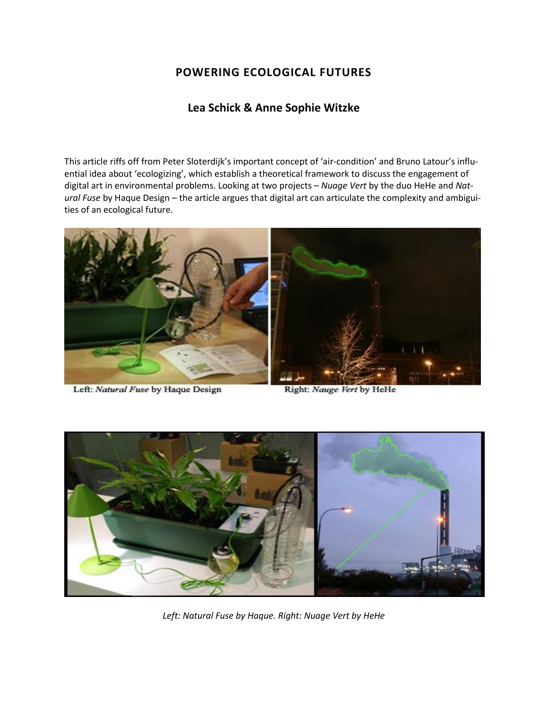# **POWERING ECOLOGICAL FUTURES**

## **Lea Schick & Anne Sophie Witzke**

This article riffs off from Peter Sloterdijk's important concept of 'air-condition' and Bruno Latour's influential idea about 'ecologizing', which establish a theoretical framework to discuss the engagement of digital art in environmental problems. Looking at two projects – *Nuage Vert* by the duo HeHe and *Natural Fuse* by Haque Design – the article argues that digital art can articulate the complexity and ambiguities of an ecological future.



Left: Natural Fuse by Haque Design

Right: Nauge Vert by HeHe



*Left: Natural Fuse by Haque. Right: Nuage Vert by HeHe*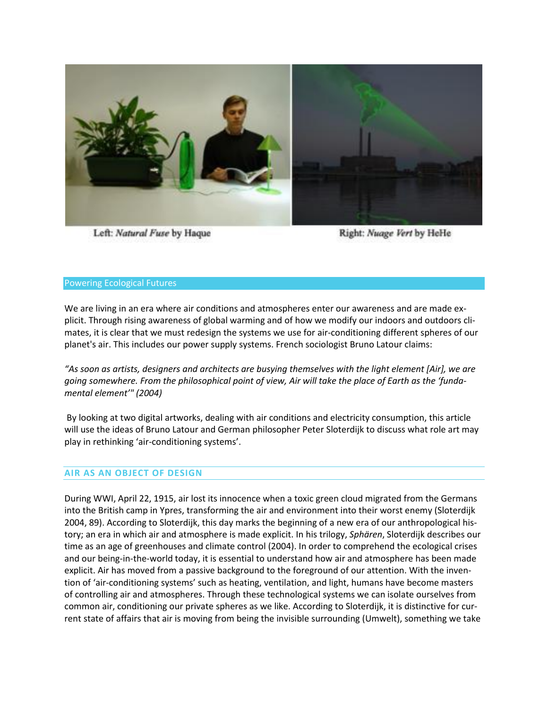

Left: Natural Fuse by Haque

Right: Nuage Vert by HeHe

#### Powering Ecological Futures

We are living in an era where air conditions and atmospheres enter our awareness and are made explicit. Through rising awareness of global warming and of how we modify our indoors and outdoors climates, it is clear that we must redesign the systems we use for air-conditioning different spheres of our planet's air. This includes our power supply systems. French sociologist Bruno Latour claims:

*"As soon as artists, designers and architects are busying themselves with the light element [Air], we are going somewhere. From the philosophical point of view, Air will take the place of Earth as the 'fundamental element'" (2004)*

By looking at two digital artworks, dealing with air conditions and electricity consumption, this article will use the ideas of Bruno Latour and German philosopher Peter Sloterdijk to discuss what role art may play in rethinking 'air-conditioning systems'.

### **AIR AS AN OBJECT OF DESIGN**

During WWI, April 22, 1915, air lost its innocence when a toxic green cloud migrated from the Germans into the British camp in Ypres, transforming the air and environment into their worst enemy (Sloterdijk 2004, 89). According to Sloterdijk, this day marks the beginning of a new era of our anthropological history; an era in which air and atmosphere is made explicit. In his trilogy, *Sphären*, Sloterdijk describes our time as an age of greenhouses and climate control (2004). In order to comprehend the ecological crises and our being-in-the-world today, it is essential to understand how air and atmosphere has been made explicit. Air has moved from a passive background to the foreground of our attention. With the invention of 'air-conditioning systems' such as heating, ventilation, and light, humans have become masters of controlling air and atmospheres. Through these technological systems we can isolate ourselves from common air, conditioning our private spheres as we like. According to Sloterdijk, it is distinctive for current state of affairs that air is moving from being the invisible surrounding (Umwelt), something we take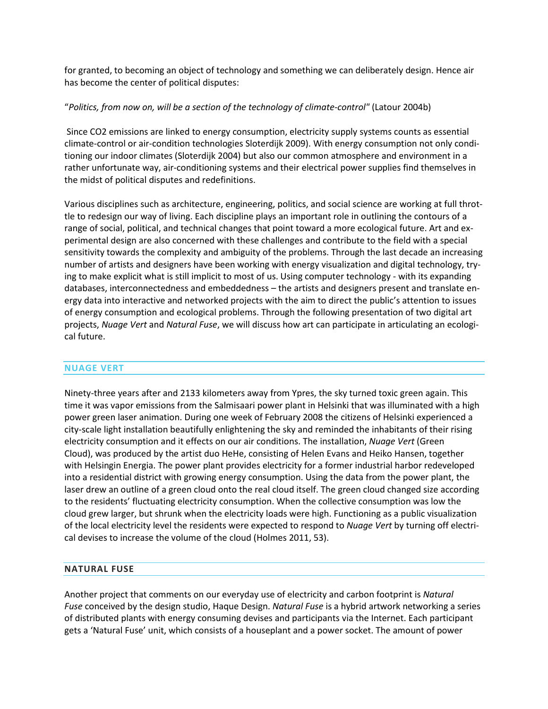for granted, to becoming an object of technology and something we can deliberately design. Hence air has become the center of political disputes:

### "*Politics, from now on, will be a section of the technology of climate-control"* (Latour 2004b)

Since CO2 emissions are linked to energy consumption, electricity supply systems counts as essential climate-control or air-condition technologies Sloterdijk 2009). With energy consumption not only conditioning our indoor climates (Sloterdijk 2004) but also our common atmosphere and environment in a rather unfortunate way, air-conditioning systems and their electrical power supplies find themselves in the midst of political disputes and redefinitions.

Various disciplines such as architecture, engineering, politics, and social science are working at full throttle to redesign our way of living. Each discipline plays an important role in outlining the contours of a range of social, political, and technical changes that point toward a more ecological future. Art and experimental design are also concerned with these challenges and contribute to the field with a special sensitivity towards the complexity and ambiguity of the problems. Through the last decade an increasing number of artists and designers have been working with energy visualization and digital technology, trying to make explicit what is still implicit to most of us. Using computer technology - with its expanding databases, interconnectedness and embeddedness – the artists and designers present and translate energy data into interactive and networked projects with the aim to direct the public's attention to issues of energy consumption and ecological problems. Through the following presentation of two digital art projects, *Nuage Vert* and *Natural Fuse*, we will discuss how art can participate in articulating an ecological future.

### **NUAGE VERT**

Ninety-three years after and 2133 kilometers away from Ypres, the sky turned toxic green again. This time it was vapor emissions from the Salmisaari power plant in Helsinki that was illuminated with a high power green laser animation. During one week of February 2008 the citizens of Helsinki experienced a city-scale light installation beautifully enlightening the sky and reminded the inhabitants of their rising electricity consumption and it effects on our air conditions. The installation, *Nuage Vert* (Green Cloud), was produced by the artist duo HeHe, consisting of Helen Evans and Heiko Hansen, together with Helsingin Energia. The power plant provides electricity for a former industrial harbor redeveloped into a residential district with growing energy consumption. Using the data from the power plant, the laser drew an outline of a green cloud onto the real cloud itself. The green cloud changed size according to the residents' fluctuating electricity consumption. When the collective consumption was low the cloud grew larger, but shrunk when the electricity loads were high. Functioning as a public visualization of the local electricity level the residents were expected to respond to *Nuage Vert* by turning off electrical devises to increase the volume of the cloud (Holmes 2011, 53).

### **NATURAL FUSE**

Another project that comments on our everyday use of electricity and carbon footprint is *Natural Fuse* conceived by the design studio, Haque Design. *Natural Fuse* is a hybrid artwork networking a series of distributed plants with energy consuming devises and participants via the Internet. Each participant gets a 'Natural Fuse' unit, which consists of a houseplant and a power socket. The amount of power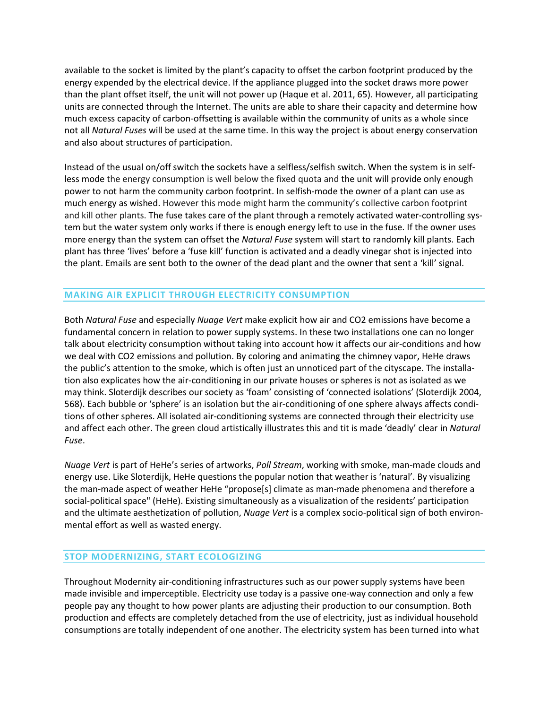available to the socket is limited by the plant's capacity to offset the carbon footprint produced by the energy expended by the electrical device. If the appliance plugged into the socket draws more power than the plant offset itself, the unit will not power up (Haque et al. 2011, 65). However, all participating units are connected through the Internet. The units are able to share their capacity and determine how much excess capacity of carbon-offsetting is available within the community of units as a whole since not all *Natural Fuses* will be used at the same time. In this way the project is about energy conservation and also about structures of participation.

Instead of the usual on/off switch the sockets have a selfless/selfish switch. When the system is in selfless mode the energy consumption is well below the fixed quota and the unit will provide only enough power to not harm the community carbon footprint. In selfish-mode the owner of a plant can use as much energy as wished. However this mode might harm the community's collective carbon footprint and kill other plants. The fuse takes care of the plant through a remotely activated water-controlling system but the water system only works if there is enough energy left to use in the fuse. If the owner uses more energy than the system can offset the *Natural Fuse* system will start to randomly kill plants. Each plant has three 'lives' before a 'fuse kill' function is activated and a deadly vinegar shot is injected into the plant. Emails are sent both to the owner of the dead plant and the owner that sent a 'kill' signal.

### **MAKING AIR EXPLICIT THROUGH ELECTRICITY CONSUMPTION**

Both *Natural Fuse* and especially *Nuage Vert* make explicit how air and CO2 emissions have become a fundamental concern in relation to power supply systems. In these two installations one can no longer talk about electricity consumption without taking into account how it affects our air-conditions and how we deal with CO2 emissions and pollution. By coloring and animating the chimney vapor, HeHe draws the public's attention to the smoke, which is often just an unnoticed part of the cityscape. The installation also explicates how the air-conditioning in our private houses or spheres is not as isolated as we may think. Sloterdijk describes our society as 'foam' consisting of 'connected isolations' (Sloterdijk 2004, 568). Each bubble or 'sphere' is an isolation but the air-conditioning of one sphere always affects conditions of other spheres. All isolated air-conditioning systems are connected through their electricity use and affect each other. The green cloud artistically illustrates this and tit is made 'deadly' clear in *Natural Fuse*.

*Nuage Vert* is part of HeHe's series of artworks, *Poll Stream*, working with smoke, man-made clouds and energy use. Like Sloterdijk, HeHe questions the popular notion that weather is 'natural'. By visualizing the man-made aspect of weather HeHe "propose[s] climate as man-made phenomena and therefore a social-political space" (HeHe). Existing simultaneously as a visualization of the residents' participation and the ultimate aesthetization of pollution, *Nuage Vert* is a complex socio-political sign of both environmental effort as well as wasted energy.

### **STOP MODERNIZING, START ECOLOGIZING**

Throughout Modernity air-conditioning infrastructures such as our power supply systems have been made invisible and imperceptible. Electricity use today is a passive one-way connection and only a few people pay any thought to how power plants are adjusting their production to our consumption. Both production and effects are completely detached from the use of electricity, just as individual household consumptions are totally independent of one another. The electricity system has been turned into what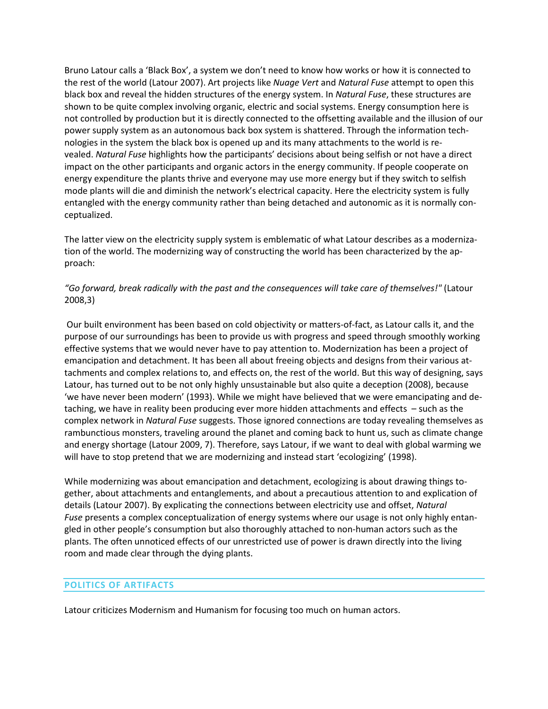Bruno Latour calls a 'Black Box', a system we don't need to know how works or how it is connected to the rest of the world (Latour 2007). Art projects like *Nuage Vert* and *Natural Fuse* attempt to open this black box and reveal the hidden structures of the energy system. In *Natural Fuse*, these structures are shown to be quite complex involving organic, electric and social systems. Energy consumption here is not controlled by production but it is directly connected to the offsetting available and the illusion of our power supply system as an autonomous back box system is shattered. Through the information technologies in the system the black box is opened up and its many attachments to the world is revealed. *Natural Fuse* highlights how the participants' decisions about being selfish or not have a direct impact on the other participants and organic actors in the energy community. If people cooperate on energy expenditure the plants thrive and everyone may use more energy but if they switch to selfish mode plants will die and diminish the network's electrical capacity. Here the electricity system is fully entangled with the energy community rather than being detached and autonomic as it is normally conceptualized.

The latter view on the electricity supply system is emblematic of what Latour describes as a modernization of the world. The modernizing way of constructing the world has been characterized by the approach:

## *"Go forward, break radically with the past and the consequences will take care of themselves!"* (Latour 2008,3)

Our built environment has been based on cold objectivity or matters-of-fact, as Latour calls it, and the purpose of our surroundings has been to provide us with progress and speed through smoothly working effective systems that we would never have to pay attention to. Modernization has been a project of emancipation and detachment. It has been all about freeing objects and designs from their various attachments and complex relations to, and effects on, the rest of the world. But this way of designing, says Latour, has turned out to be not only highly unsustainable but also quite a deception (2008), because 'we have never been modern' (1993). While we might have believed that we were emancipating and detaching, we have in reality been producing ever more hidden attachments and effects – such as the complex network in *Natural Fuse* suggests. Those ignored connections are today revealing themselves as rambunctious monsters, traveling around the planet and coming back to hunt us, such as climate change and energy shortage (Latour 2009, 7). Therefore, says Latour, if we want to deal with global warming we will have to stop pretend that we are modernizing and instead start 'ecologizing' (1998).

While modernizing was about emancipation and detachment, ecologizing is about drawing things together, about attachments and entanglements, and about a precautious attention to and explication of details (Latour 2007). By explicating the connections between electricity use and offset, *Natural Fuse* presents a complex conceptualization of energy systems where our usage is not only highly entangled in other people's consumption but also thoroughly attached to non-human actors such as the plants. The often unnoticed effects of our unrestricted use of power is drawn directly into the living room and made clear through the dying plants.

### **POLITICS OF ARTIFACTS**

Latour criticizes Modernism and Humanism for focusing too much on human actors.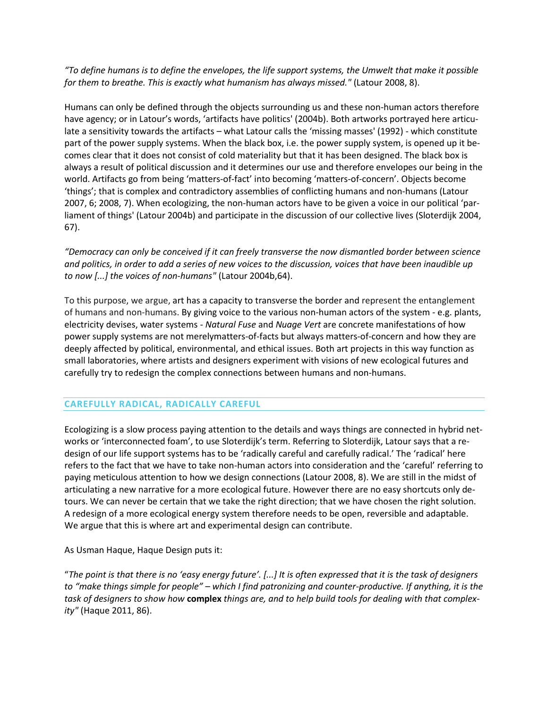*"To define humans is to define the envelopes, the life support systems, the Umwelt that make it possible for them to breathe. This is exactly what humanism has always missed."* (Latour 2008, 8).

Humans can only be defined through the objects surrounding us and these non-human actors therefore have agency; or in Latour's words, 'artifacts have politics' (2004b). Both artworks portrayed here articulate a sensitivity towards the artifacts – what Latour calls the 'missing masses' (1992) - which constitute part of the power supply systems. When the black box, i.e. the power supply system, is opened up it becomes clear that it does not consist of cold materiality but that it has been designed. The black box is always a result of political discussion and it determines our use and therefore envelopes our being in the world. Artifacts go from being 'matters-of-fact' into becoming 'matters-of-concern'. Objects become 'things'; that is complex and contradictory assemblies of conflicting humans and non-humans (Latour 2007, 6; 2008, 7). When ecologizing, the non-human actors have to be given a voice in our political 'parliament of things' (Latour 2004b) and participate in the discussion of our collective lives (Sloterdijk 2004, 67).

*"Democracy can only be conceived if it can freely transverse the now dismantled border between science and politics, in order to add a series of new voices to the discussion, voices that have been inaudible up to now [...] the voices of non-humans"* (Latour 2004b,64).

To this purpose, we argue, art has a capacity to transverse the border and represent the entanglement of humans and non-humans. By giving voice to the various non-human actors of the system - e.g. plants, electricity devises, water systems - *Natural Fuse* and *Nuage Vert* are concrete manifestations of how power supply systems are not merelymatters-of-facts but always matters-of-concern and how they are deeply affected by political, environmental, and ethical issues. Both art projects in this way function as small laboratories, where artists and designers experiment with visions of new ecological futures and carefully try to redesign the complex connections between humans and non-humans.

### **CAREFULLY RADICAL, RADICALLY CAREFUL**

Ecologizing is a slow process paying attention to the details and ways things are connected in hybrid networks or 'interconnected foam', to use Sloterdijk's term. Referring to Sloterdijk, Latour says that a redesign of our life support systems has to be 'radically careful and carefully radical.' The 'radical' here refers to the fact that we have to take non-human actors into consideration and the 'careful' referring to paying meticulous attention to how we design connections (Latour 2008, 8). We are still in the midst of articulating a new narrative for a more ecological future. However there are no easy shortcuts only detours. We can never be certain that we take the right direction; that we have chosen the right solution. A redesign of a more ecological energy system therefore needs to be open, reversible and adaptable. We argue that this is where art and experimental design can contribute.

As Usman Haque, Haque Design puts it:

"*The point is that there is no 'easy energy future'. [...] It is often expressed that it is the task of designers to "make things simple for people" – which I find patronizing and counter-productive. If anything, it is the task of designers to show how* **complex** *things are, and to help build tools for dealing with that complexity"* (Haque 2011, 86).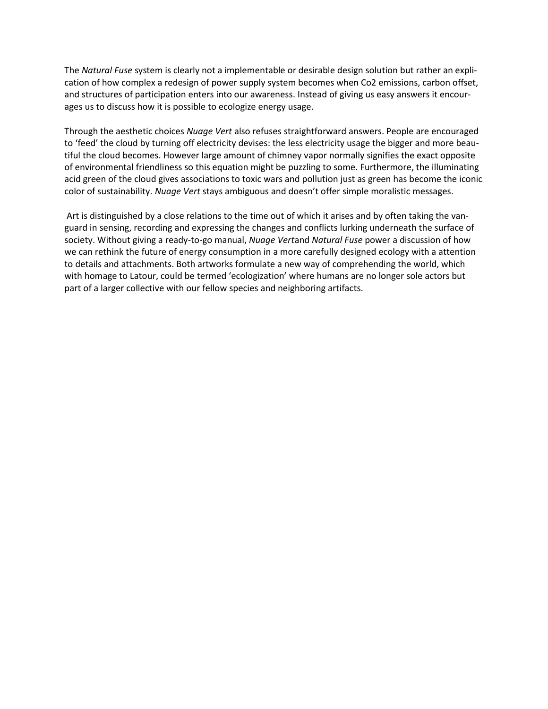The *Natural Fuse* system is clearly not a implementable or desirable design solution but rather an explication of how complex a redesign of power supply system becomes when Co2 emissions, carbon offset, and structures of participation enters into our awareness. Instead of giving us easy answers it encourages us to discuss how it is possible to ecologize energy usage.

Through the aesthetic choices *Nuage Vert* also refuses straightforward answers. People are encouraged to 'feed' the cloud by turning off electricity devises: the less electricity usage the bigger and more beautiful the cloud becomes. However large amount of chimney vapor normally signifies the exact opposite of environmental friendliness so this equation might be puzzling to some. Furthermore, the illuminating acid green of the cloud gives associations to toxic wars and pollution just as green has become the iconic color of sustainability. *Nuage Vert* stays ambiguous and doesn't offer simple moralistic messages.

Art is distinguished by a close relations to the time out of which it arises and by often taking the vanguard in sensing, recording and expressing the changes and conflicts lurking underneath the surface of society. Without giving a ready-to-go manual, *Nuage Vert*and *Natural Fuse* power a discussion of how we can rethink the future of energy consumption in a more carefully designed ecology with a attention to details and attachments. Both artworks formulate a new way of comprehending the world, which with homage to Latour, could be termed 'ecologization' where humans are no longer sole actors but part of a larger collective with our fellow species and neighboring artifacts.